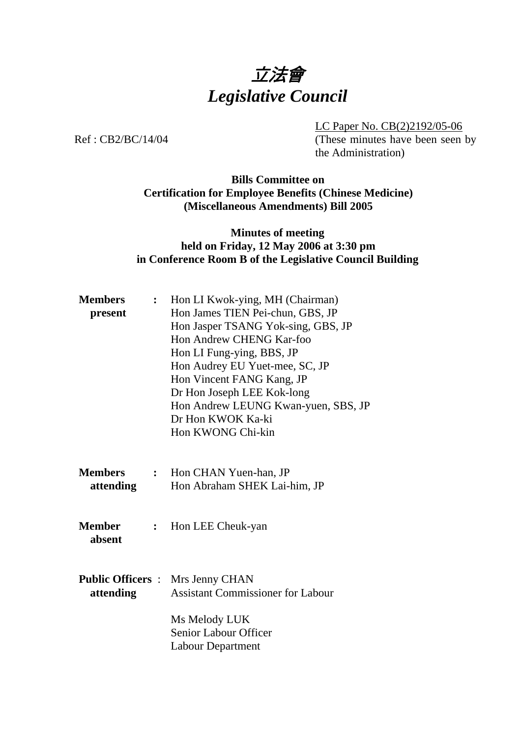# 立法會 *Legislative Council*

LC Paper No. CB(2)2192/05-06

Ref: CB2/BC/14/04 (These minutes have been seen by the Administration)

## **Bills Committee on Certification for Employee Benefits (Chinese Medicine) (Miscellaneous Amendments) Bill 2005**

#### **Minutes of meeting held on Friday, 12 May 2006 at 3:30 pm in Conference Room B of the Legislative Council Building**

| <b>Members</b><br>present   | $\ddot{\cdot}$ | Hon LI Kwok-ying, MH (Chairman)<br>Hon James TIEN Pei-chun, GBS, JP<br>Hon Jasper TSANG Yok-sing, GBS, JP<br>Hon Andrew CHENG Kar-foo<br>Hon LI Fung-ying, BBS, JP<br>Hon Audrey EU Yuet-mee, SC, JP<br>Hon Vincent FANG Kang, JP<br>Dr Hon Joseph LEE Kok-long<br>Hon Andrew LEUNG Kwan-yuen, SBS, JP<br>Dr Hon KWOK Ka-ki |
|-----------------------------|----------------|-----------------------------------------------------------------------------------------------------------------------------------------------------------------------------------------------------------------------------------------------------------------------------------------------------------------------------|
|                             |                | Hon KWONG Chi-kin                                                                                                                                                                                                                                                                                                           |
| <b>Members</b><br>attending |                | : Hon CHAN Yuen-han, JP<br>Hon Abraham SHEK Lai-him, JP                                                                                                                                                                                                                                                                     |
| <b>Member</b><br>absent     | $\ddot{\cdot}$ | Hon LEE Cheuk-yan                                                                                                                                                                                                                                                                                                           |
| attending                   |                | <b>Public Officers : Mrs Jenny CHAN</b><br><b>Assistant Commissioner for Labour</b>                                                                                                                                                                                                                                         |
|                             |                | Ms Melody LUK<br>Senior Labour Officer<br><b>Labour Department</b>                                                                                                                                                                                                                                                          |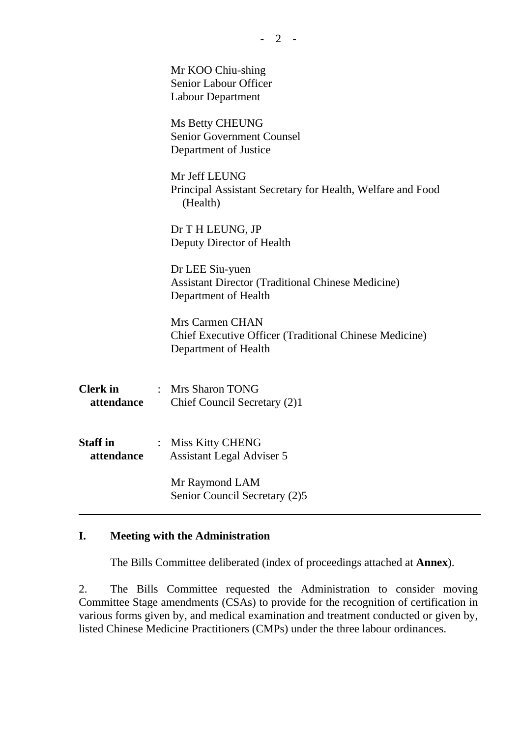|                               | Mr KOO Chiu-shing<br>Senior Labour Officer<br><b>Labour Department</b>                                   |
|-------------------------------|----------------------------------------------------------------------------------------------------------|
|                               | Ms Betty CHEUNG<br>Senior Government Counsel<br>Department of Justice                                    |
|                               | Mr Jeff LEUNG<br>Principal Assistant Secretary for Health, Welfare and Food<br>(Health)                  |
|                               | Dr T H LEUNG, JP<br>Deputy Director of Health                                                            |
|                               | Dr LEE Siu-yuen<br><b>Assistant Director (Traditional Chinese Medicine)</b><br>Department of Health      |
|                               | Mrs Carmen CHAN<br><b>Chief Executive Officer (Traditional Chinese Medicine)</b><br>Department of Health |
| <b>Clerk</b> in<br>attendance | : Mrs Sharon TONG<br>Chief Council Secretary (2)1                                                        |
| <b>Staff</b> in<br>attendance | : Miss Kitty CHENG<br><b>Assistant Legal Adviser 5</b>                                                   |
|                               | Mr Raymond LAM<br>Senior Council Secretary (2)5                                                          |
|                               |                                                                                                          |

## **I. Meeting with the Administration**

1. The Bills Committee deliberated (index of proceedings attached at **Annex**).

2. The Bills Committee requested the Administration to consider moving Committee Stage amendments (CSAs) to provide for the recognition of certification in various forms given by, and medical examination and treatment conducted or given by, listed Chinese Medicine Practitioners (CMPs) under the three labour ordinances.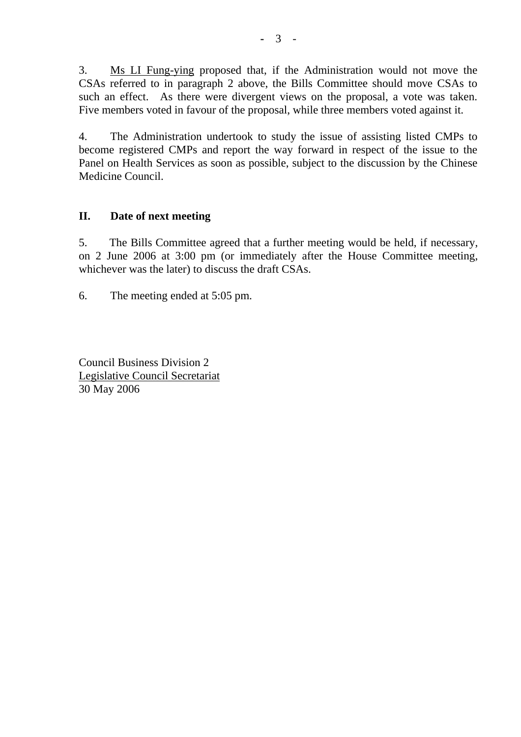3. Ms LI Fung-ying proposed that, if the Administration would not move the CSAs referred to in paragraph 2 above, the Bills Committee should move CSAs to such an effect. As there were divergent views on the proposal, a vote was taken. Five members voted in favour of the proposal, while three members voted against it.

4. The Administration undertook to study the issue of assisting listed CMPs to become registered CMPs and report the way forward in respect of the issue to the Panel on Health Services as soon as possible, subject to the discussion by the Chinese Medicine Council.

# **II. Date of next meeting**

5. The Bills Committee agreed that a further meeting would be held, if necessary, on 2 June 2006 at 3:00 pm (or immediately after the House Committee meeting, whichever was the later) to discuss the draft CSAs.

6. The meeting ended at 5:05 pm.

Council Business Division 2 Legislative Council Secretariat 30 May 2006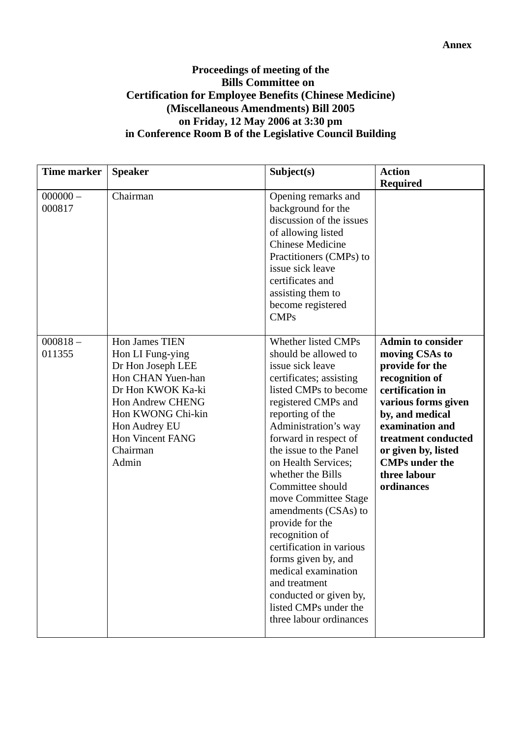#### **Annex**

#### **Proceedings of meeting of the Bills Committee on Certification for Employee Benefits (Chinese Medicine) (Miscellaneous Amendments) Bill 2005 on Friday, 12 May 2006 at 3:30 pm in Conference Room B of the Legislative Council Building**

| <b>Time marker</b>   | <b>Speaker</b>                                                                                                                                                                                                     | Subject(s)                                                                                                                                                                                                                                                                                                                                                                                                                                                                                                                                                              | <b>Action</b><br><b>Required</b>                                                                                                                                                                                                                                      |
|----------------------|--------------------------------------------------------------------------------------------------------------------------------------------------------------------------------------------------------------------|-------------------------------------------------------------------------------------------------------------------------------------------------------------------------------------------------------------------------------------------------------------------------------------------------------------------------------------------------------------------------------------------------------------------------------------------------------------------------------------------------------------------------------------------------------------------------|-----------------------------------------------------------------------------------------------------------------------------------------------------------------------------------------------------------------------------------------------------------------------|
| $000000 -$<br>000817 | Chairman                                                                                                                                                                                                           | Opening remarks and<br>background for the<br>discussion of the issues<br>of allowing listed<br><b>Chinese Medicine</b><br>Practitioners (CMPs) to<br>issue sick leave<br>certificates and<br>assisting them to<br>become registered<br><b>CMPs</b>                                                                                                                                                                                                                                                                                                                      |                                                                                                                                                                                                                                                                       |
| $000818 -$<br>011355 | Hon James TIEN<br>Hon LI Fung-ying<br>Dr Hon Joseph LEE<br>Hon CHAN Yuen-han<br>Dr Hon KWOK Ka-ki<br><b>Hon Andrew CHENG</b><br>Hon KWONG Chi-kin<br>Hon Audrey EU<br><b>Hon Vincent FANG</b><br>Chairman<br>Admin | Whether listed CMPs<br>should be allowed to<br>issue sick leave<br>certificates; assisting<br>listed CMPs to become<br>registered CMPs and<br>reporting of the<br>Administration's way<br>forward in respect of<br>the issue to the Panel<br>on Health Services;<br>whether the Bills<br>Committee should<br>move Committee Stage<br>amendments (CSAs) to<br>provide for the<br>recognition of<br>certification in various<br>forms given by, and<br>medical examination<br>and treatment<br>conducted or given by,<br>listed CMPs under the<br>three labour ordinances | <b>Admin to consider</b><br>moving CSAs to<br>provide for the<br>recognition of<br>certification in<br>various forms given<br>by, and medical<br>examination and<br>treatment conducted<br>or given by, listed<br><b>CMPs</b> under the<br>three labour<br>ordinances |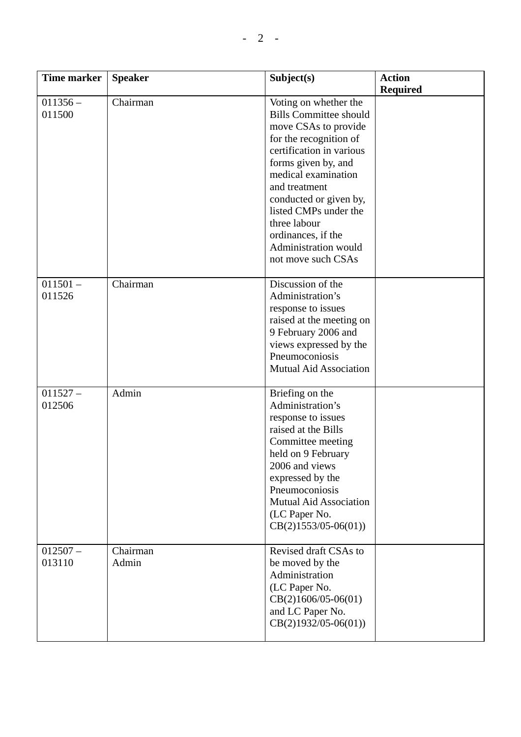| <b>Time marker</b>   | <b>Speaker</b>    | Subject(s)                                                                                                                                                                                                                                                                                                                                 | <b>Action</b><br><b>Required</b> |
|----------------------|-------------------|--------------------------------------------------------------------------------------------------------------------------------------------------------------------------------------------------------------------------------------------------------------------------------------------------------------------------------------------|----------------------------------|
| $011356 -$<br>011500 | Chairman          | Voting on whether the<br><b>Bills Committee should</b><br>move CSAs to provide<br>for the recognition of<br>certification in various<br>forms given by, and<br>medical examination<br>and treatment<br>conducted or given by,<br>listed CMPs under the<br>three labour<br>ordinances, if the<br>Administration would<br>not move such CSAs |                                  |
| $011501 -$<br>011526 | Chairman          | Discussion of the<br>Administration's<br>response to issues<br>raised at the meeting on<br>9 February 2006 and<br>views expressed by the<br>Pneumoconiosis<br><b>Mutual Aid Association</b>                                                                                                                                                |                                  |
| $011527 -$<br>012506 | Admin             | Briefing on the<br>Administration's<br>response to issues<br>raised at the Bills<br>Committee meeting<br>held on 9 February<br>2006 and views<br>expressed by the<br>Pneumoconiosis<br><b>Mutual Aid Association</b><br>(LC Paper No.<br>$CB(2)1553/05-06(01))$                                                                            |                                  |
| $012507 -$<br>013110 | Chairman<br>Admin | Revised draft CSAs to<br>be moved by the<br>Administration<br>(LC Paper No.<br>$CB(2)1606/05-06(01)$<br>and LC Paper No.<br>$CB(2)1932/05-06(01))$                                                                                                                                                                                         |                                  |